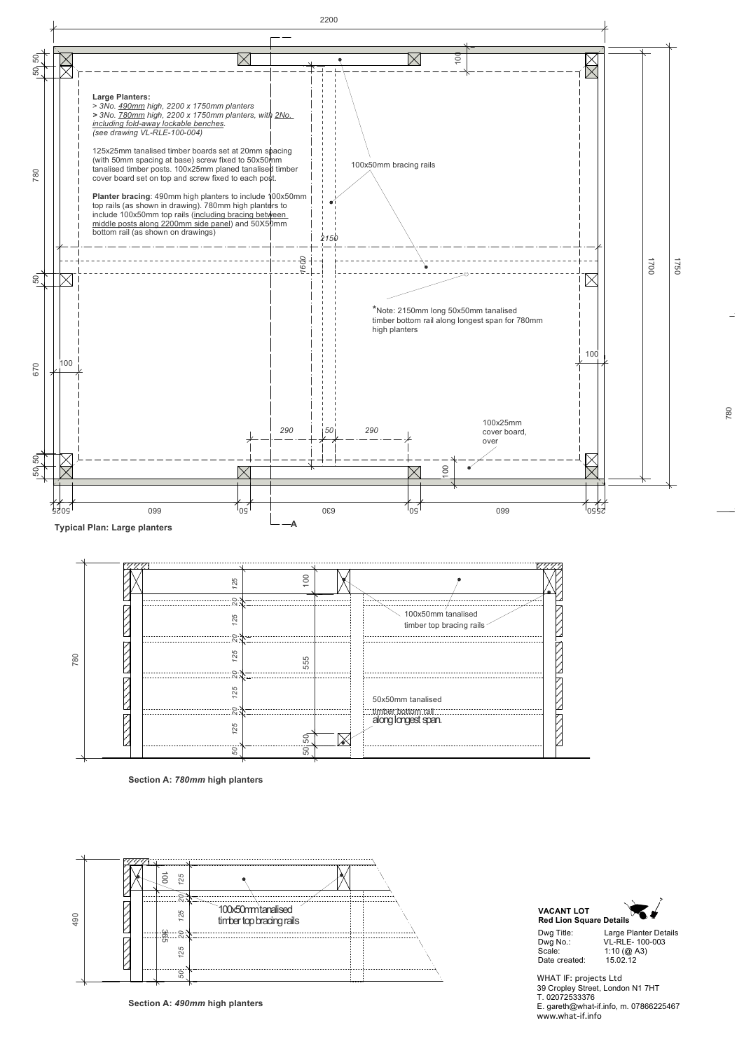

780

Dwg Title: Large Planter Details Dwg No.: VL-RLE- 100-003 Scale: 1:10 (@ A3)<br>Date created: 15.02.12 Date created:



WHAT IF: projects Ltd 39 Cropley Street, London N1 7HT T. 02072533376 E. gareth@what-if.info, m. 07866225467 www.what-if.info



**Section A:** *780mm* **high planters**



**Section A:** *490mm* **high planters**